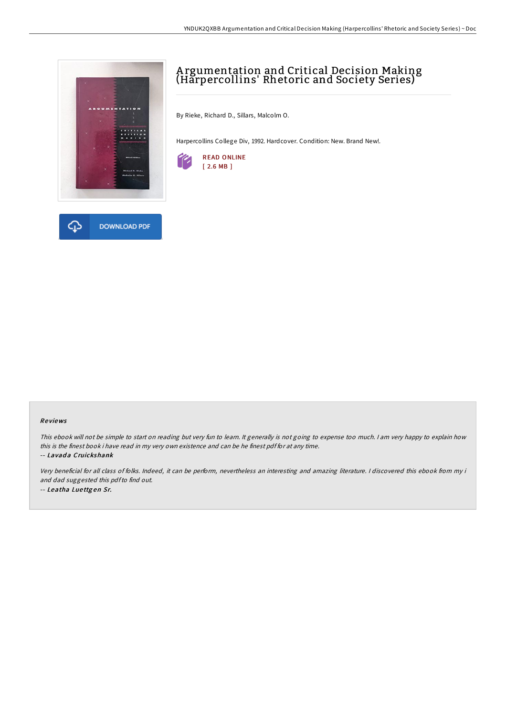

# A rgumentation and Critical Decision Making (Harpercollins' Rhetoric and Society Series)

By Rieke, Richard D., Sillars, Malcolm O.

Harpercollins College Div, 1992. Hardcover. Condition: New. Brand New!.



### Re views

This ebook will not be simple to start on reading but very fun to learn. It generally is not going to expense too much. I am very happy to explain how this is the finest book i have read in my very own existence and can be he finest pdf for at any time. -- Lavada Cruickshank

Very beneficial for all class of folks. Indeed, it can be perform, nevertheless an interesting and amazing literature. <sup>I</sup> discovered this ebook from my i and dad suggested this pdfto find out. -- Leatha Lue ttg en Sr.